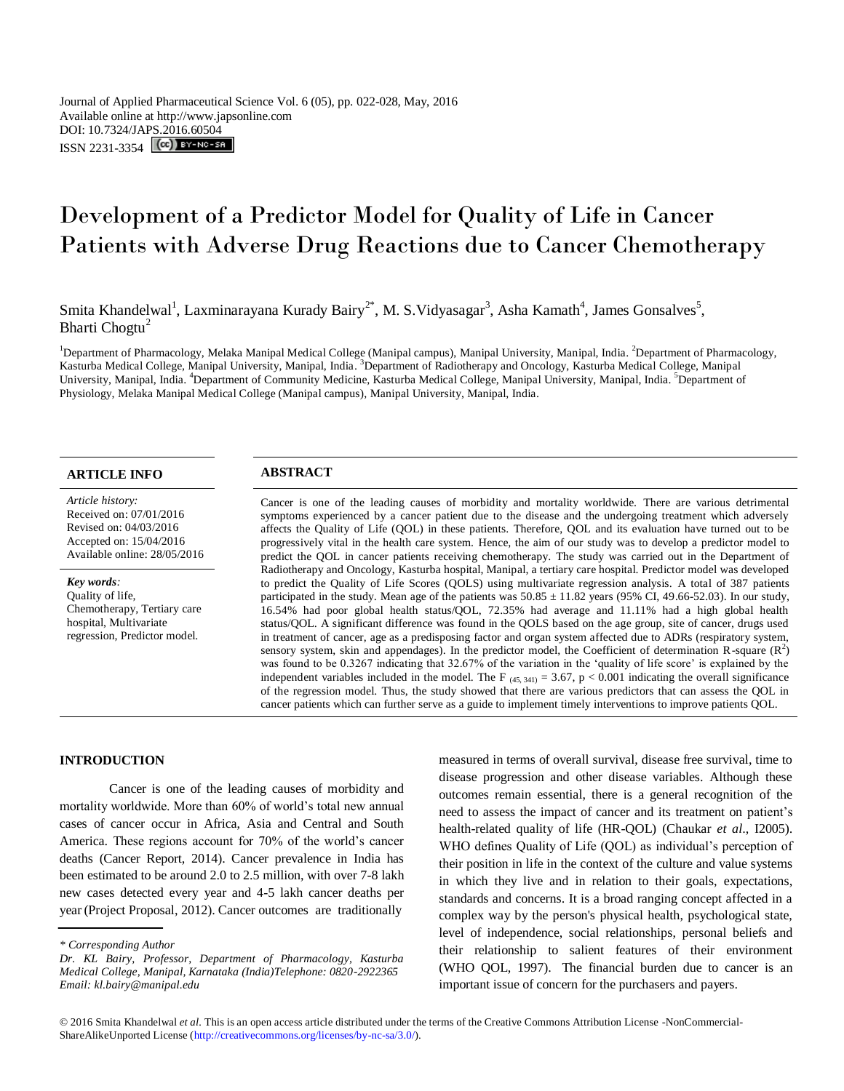Journal of Applied Pharmaceutical Science Vol. 6 (05), pp. 022-028, May, 2016 Available online at http://www.japsonline.com DOI: 10.7324/JA[PS.2016.60504](http://creativecommons.org/licenses/by-nc-sa/3.0/) ISSN 2231-3354 **(cc)** BY-NO-58

# Development of a Predictor Model for Quality of Life in Cancer Patients with Adverse Drug Reactions due to Cancer Chemotherapy

Smita Khandelwal<sup>1</sup>, Laxminarayana Kurady Bairy<sup>2\*</sup>, M. S. Vidyasagar<sup>3</sup>, Asha Kamath<sup>4</sup>, James Gonsalves<sup>5</sup>, Bharti Chogtu<sup>2</sup>

<sup>1</sup>Department of Pharmacology, Melaka Manipal Medical College (Manipal campus), Manipal University, Manipal, India. <sup>2</sup>Department of Pharmacology, Kasturba Medical College, Manipal University, Manipal, India. <sup>3</sup>Department of Radiotherapy and Oncology, Kasturba Medical College, Manipal University, Manipal, India. <sup>4</sup>Department of Community Medicine, Kasturba Medical College, Manipal University, Manipal, India. <sup>5</sup>Department of Physiology, Melaka Manipal Medical College (Manipal campus), Manipal University, Manipal, India.

# **ARTICLE INFO ABSTRACT**

*Article history:* Received on: 07/01/2016 Revised on: 04/03/2016 Accepted on: 15/04/2016 Available online: 28/05/2016

*Key words:*  Quality of life, Chemotherapy, Tertiary care hospital, Multivariate regression, Predictor model.

Cancer is one of the leading causes of morbidity and mortality worldwide. There are various detrimental symptoms experienced by a cancer patient due to the disease and the undergoing treatment which adversely affects the Quality of Life (QOL) in these patients. Therefore, QOL and its evaluation have turned out to be progressively vital in the health care system. Hence, the aim of our study was to develop a predictor model to predict the QOL in cancer patients receiving chemotherapy. The study was carried out in the Department of Radiotherapy and Oncology, Kasturba hospital, Manipal, a tertiary care hospital. Predictor model was developed to predict the Quality of Life Scores (QOLS) using multivariate regression analysis. A total of 387 patients participated in the study. Mean age of the patients was  $50.85 \pm 11.82$  years (95% CI, 49.66-52.03). In our study, 16.54% had poor global health status/QOL, 72.35% had average and 11.11% had a high global health status/QOL. A significant difference was found in the QOLS based on the age group, site of cancer, drugs used in treatment of cancer, age as a predisposing factor and organ system affected due to ADRs (respiratory system, sensory system, skin and appendages). In the predictor model, the Coefficient of determination R-square  $(R^2)$ was found to be 0.3267 indicating that 32.67% of the variation in the 'quality of life score' is explained by the independent variables included in the model. The F  $_{(45, 341)} = 3.67$ , p < 0.001 indicating the overall significance of the regression model. Thus, the study showed that there are various predictors that can assess the QOL in cancer patients which can further serve as a guide to implement timely interventions to improve patients QOL.

#### **INTRODUCTION**

Cancer is one of the leading causes of morbidity and mortality worldwide. More than 60% of world's total new annual cases of cancer occur in Africa, Asia and Central and South America. These regions account for 70% of the world's cancer deaths (Cancer Report, 2014). Cancer prevalence in India has been estimated to be around 2.0 to 2.5 million, with over 7-8 lakh new cases detected every year and 4-5 lakh cancer deaths per year (Project Proposal, 2012). Cancer outcomes are traditionally

measured in terms of overall survival, disease free survival, time to disease progression and other disease variables. Although these outcomes remain essential, there is a general recognition of the need to assess the impact of cancer and its treatment on patient's health-related quality of life (HR-QOL) (Chaukar *et al*., I2005). WHO defines Quality of Life (QOL) as individual's perception of their position in life in the context of the culture and value systems in which they live and in relation to their goals, expectations, standards and concerns. It is a broad ranging concept affected in a complex way by the person's physical health, psychological state, level of independence, social relationships, personal beliefs and their relationship to salient features of their environment (WHO QOL, 1997). The financial burden due to cancer is an important issue of concern for the purchasers and payers.

*<sup>\*</sup> Corresponding Author*

*Dr. KL Bairy, Professor, Department of Pharmacology, Kasturba Medical College, Manipal, Karnataka (India)Telephone: 0820-2922365 Email: kl.bairy@manipal.edu*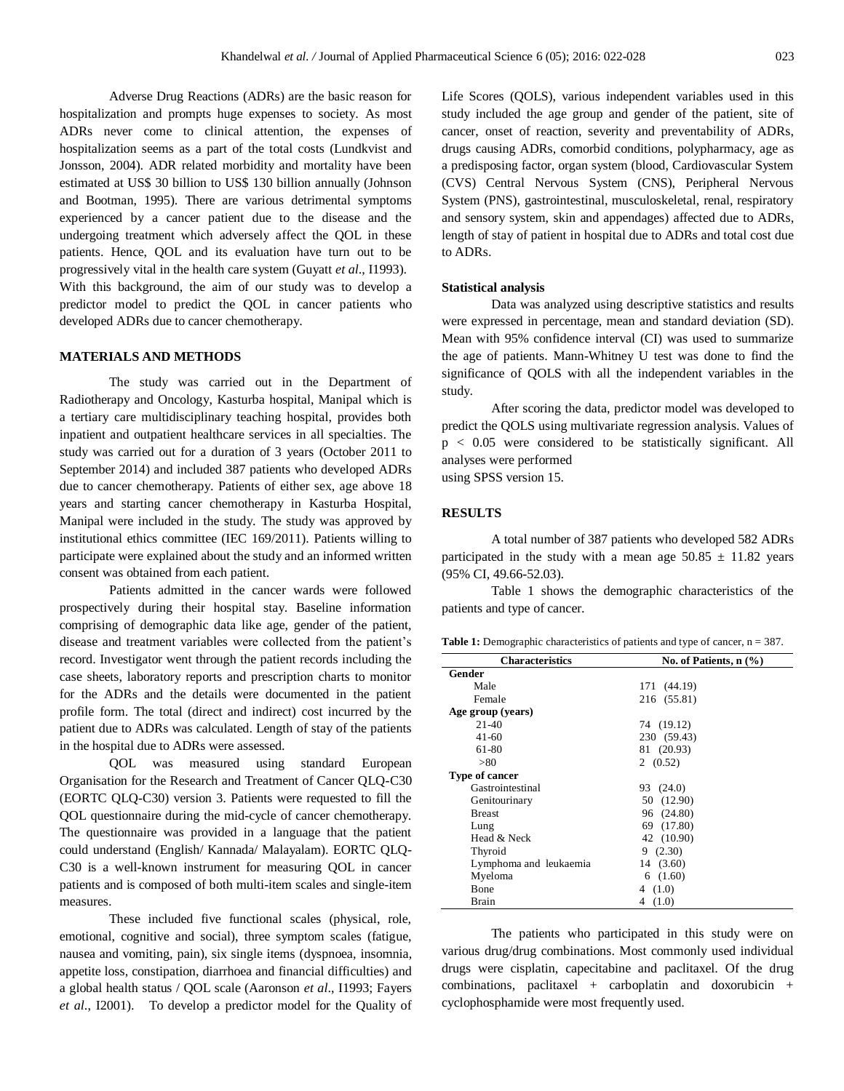Adverse Drug Reactions (ADRs) are the basic reason for hospitalization and prompts huge expenses to society. As most ADRs never come to clinical attention, the expenses of hospitalization seems as a part of the total costs (Lundkvist and Jonsson, 2004). ADR related morbidity and mortality have been estimated at US\$ 30 billion to US\$ 130 billion annually (Johnson and Bootman, 1995). There are various detrimental symptoms experienced by a cancer patient due to the disease and the undergoing treatment which adversely affect the QOL in these patients. Hence, QOL and its evaluation have turn out to be progressively vital in the health care system (Guyatt *et al*., I1993). With this background, the aim of our study was to develop a predictor model to predict the QOL in cancer patients who developed ADRs due to cancer chemotherapy.

## **MATERIALS AND METHODS**

The study was carried out in the Department of Radiotherapy and Oncology, Kasturba hospital, Manipal which is a tertiary care multidisciplinary teaching hospital, provides both inpatient and outpatient healthcare services in all specialties. The study was carried out for a duration of 3 years (October 2011 to September 2014) and included 387 patients who developed ADRs due to cancer chemotherapy. Patients of either sex, age above 18 years and starting cancer chemotherapy in Kasturba Hospital, Manipal were included in the study. The study was approved by institutional ethics committee (IEC 169/2011). Patients willing to participate were explained about the study and an informed written consent was obtained from each patient.

Patients admitted in the cancer wards were followed prospectively during their hospital stay. Baseline information comprising of demographic data like age, gender of the patient, disease and treatment variables were collected from the patient's record. Investigator went through the patient records including the case sheets, laboratory reports and prescription charts to monitor for the ADRs and the details were documented in the patient profile form. The total (direct and indirect) cost incurred by the patient due to ADRs was calculated. Length of stay of the patients in the hospital due to ADRs were assessed.

QOL was measured using standard European Organisation for the Research and Treatment of Cancer QLQ-C30 (EORTC QLQ-C30) version 3. Patients were requested to fill the QOL questionnaire during the mid-cycle of cancer chemotherapy. The questionnaire was provided in a language that the patient could understand (English/ Kannada/ Malayalam). EORTC QLQ-C30 is a well-known instrument for measuring QOL in cancer patients and is composed of both multi-item scales and single-item measures.

These included five functional scales (physical, role, emotional, cognitive and social), three symptom scales (fatigue, nausea and vomiting, pain), six single items (dyspnoea, insomnia, appetite loss, constipation, diarrhoea and financial difficulties) and a global health status / QOL scale (Aaronson *et al*., I1993; Fayers *et al*., I2001). To develop a predictor model for the Quality of Life Scores (QOLS), various independent variables used in this study included the age group and gender of the patient, site of cancer, onset of reaction, severity and preventability of ADRs, drugs causing ADRs, comorbid conditions, polypharmacy, age as a predisposing factor, organ system (blood, Cardiovascular System (CVS) Central Nervous System (CNS), Peripheral Nervous System (PNS), gastrointestinal, musculoskeletal, renal, respiratory and sensory system, skin and appendages) affected due to ADRs, length of stay of patient in hospital due to ADRs and total cost due to ADRs.

#### **Statistical analysis**

Data was analyzed using descriptive statistics and results were expressed in percentage, mean and standard deviation (SD). Mean with 95% confidence interval (CI) was used to summarize the age of patients. Mann-Whitney U test was done to find the significance of QOLS with all the independent variables in the study.

After scoring the data, predictor model was developed to predict the QOLS using multivariate regression analysis. Values of p < 0.05 were considered to be statistically significant. All analyses were performed using SPSS version 15.

# **RESULTS**

A total number of 387 patients who developed 582 ADRs participated in the study with a mean age  $50.85 \pm 11.82$  years (95% CI, 49.66-52.03).

Table 1 shows the demographic characteristics of the patients and type of cancer.

Table 1: Demographic characteristics of patients and type of cancer,  $n = 387$ .

| <b>Characteristics</b> | No. of Patients, n (%) |
|------------------------|------------------------|
| Gender                 |                        |
| Male                   | 171 (44.19)            |
| Female                 | 216 (55.81)            |
| Age group (years)      |                        |
| $21-40$                | 74 (19.12)             |
| 41-60                  | 230 (59.43)            |
| 61-80                  | 81 (20.93)             |
| > 80                   | 2(0.52)                |
| Type of cancer         |                        |
| Gastrointestinal       | 93 (24.0)              |
| Genitourinary          | 50 (12.90)             |
| <b>Breast</b>          | 96 (24.80)             |
| Lung                   | 69 (17.80)             |
| Head & Neck            | 42 (10.90)             |
| Thyroid                | 9(2.30)                |
| Lymphoma and leukaemia | 14 (3.60)              |
| Myeloma                | 6(1.60)                |
| Bone                   | 4(1.0)                 |
| Brain                  | (1.0)<br>4             |

The patients who participated in this study were on various drug/drug combinations. Most commonly used individual drugs were cisplatin, capecitabine and paclitaxel. Of the drug combinations, paclitaxel + carboplatin and doxorubicin + cyclophosphamide were most frequently used.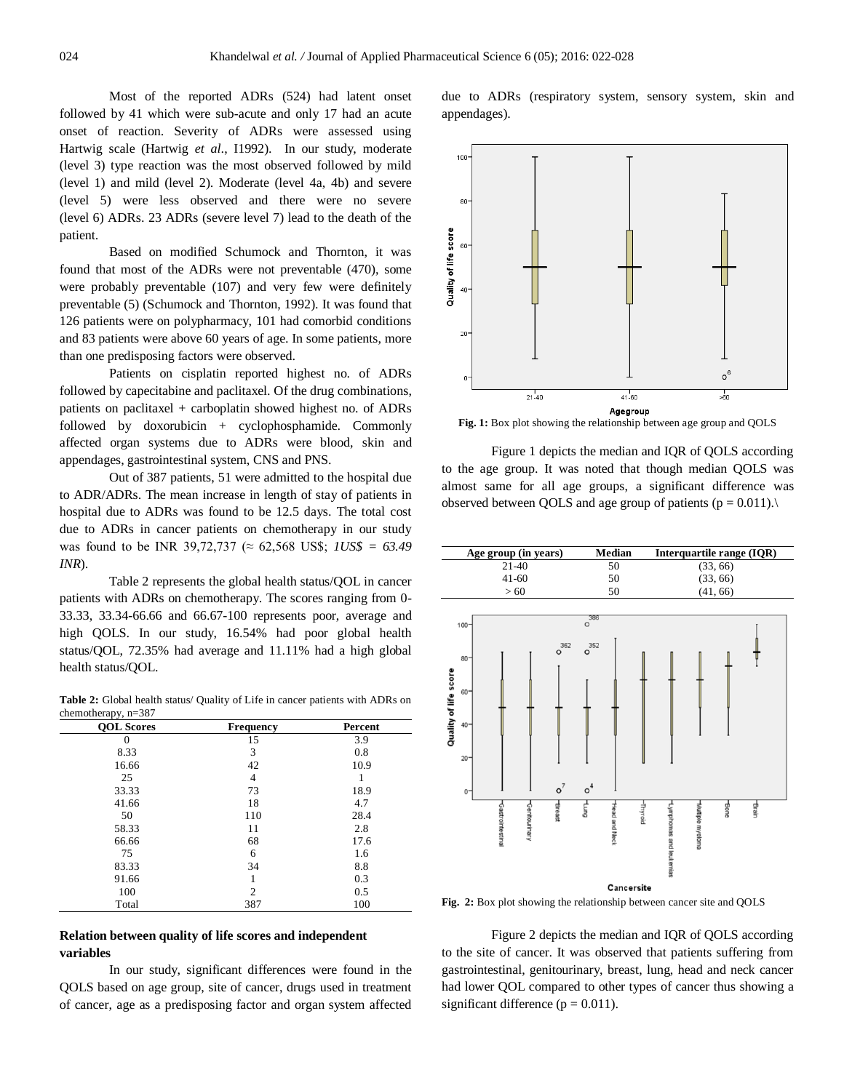Most of the reported ADRs (524) had latent onset followed by 41 which were sub-acute and only 17 had an acute onset of reaction. Severity of ADRs were assessed using Hartwig scale (Hartwig *et al*., I1992). In our study, moderate (level 3) type reaction was the most observed followed by mild (level 1) and mild (level 2). Moderate (level 4a, 4b) and severe (level 5) were less observed and there were no severe (level 6) ADRs. 23 ADRs (severe level 7) lead to the death of the patient.

Based on modified Schumock and Thornton, it was found that most of the ADRs were not preventable (470), some were probably preventable (107) and very few were definitely preventable (5) (Schumock and Thornton, 1992). It was found that 126 patients were on polypharmacy, 101 had comorbid conditions and 83 patients were above 60 years of age. In some patients, more than one predisposing factors were observed.

Patients on cisplatin reported highest no. of ADRs followed by capecitabine and paclitaxel. Of the drug combinations, patients on paclitaxel + carboplatin showed highest no. of ADRs followed by doxorubicin + cyclophosphamide. Commonly affected organ systems due to ADRs were blood, skin and appendages, gastrointestinal system, CNS and PNS.

Out of 387 patients, 51 were admitted to the hospital due to ADR/ADRs. The mean increase in length of stay of patients in hospital due to ADRs was found to be 12.5 days. The total cost due to ADRs in cancer patients on chemotherapy in our study was found to be INR 39,72,737 (≈ 62,568 US\$; *1US\$ = 63.49 INR*).

Table 2 represents the global health status/QOL in cancer patients with ADRs on chemotherapy. The scores ranging from 0- 33.33, 33.34-66.66 and 66.67-100 represents poor, average and high QOLS. In our study, 16.54% had poor global health status/QOL, 72.35% had average and 11.11% had a high global health status/QOL.

**Table 2:** Global health status/ Quality of Life in cancer patients with ADRs on chemotherapy, n=387

| $\cdots$<br><b>QOL</b> Scores | <b>Frequency</b> | Percent |
|-------------------------------|------------------|---------|
| 0                             | 15               | 3.9     |
| 8.33                          | 3                | 0.8     |
| 16.66                         | 42               | 10.9    |
| 25                            | 4                |         |
| 33.33                         | 73               | 18.9    |
| 41.66                         | 18               | 4.7     |
| 50                            | 110              | 28.4    |
| 58.33                         | 11               | 2.8     |
| 66.66                         | 68               | 17.6    |
| 75                            | 6                | 1.6     |
| 83.33                         | 34               | 8.8     |
| 91.66                         |                  | 0.3     |
| 100                           | $\overline{c}$   | 0.5     |
| Total                         | 387              | 100     |

# **Relation between quality of life scores and independent variables**

In our study, significant differences were found in the QOLS based on age group, site of cancer, drugs used in treatment of cancer, age as a predisposing factor and organ system affected due to ADRs (respiratory system, sensory system, skin and appendages).



**Fig. 1:** Box plot showing the relationship between age group and QOLS

Figure 1 depicts the median and IQR of QOLS according to the age group. It was noted that though median QOLS was almost same for all age groups, a significant difference was observed between QOLS and age group of patients ( $p = 0.011$ ).



**Fig. 2:** Box plot showing the relationship between cancer site and QOLS

Figure 2 depicts the median and IQR of QOLS according to the site of cancer. It was observed that patients suffering from gastrointestinal, genitourinary, breast, lung, head and neck cancer had lower QOL compared to other types of cancer thus showing a significant difference ( $p = 0.011$ ).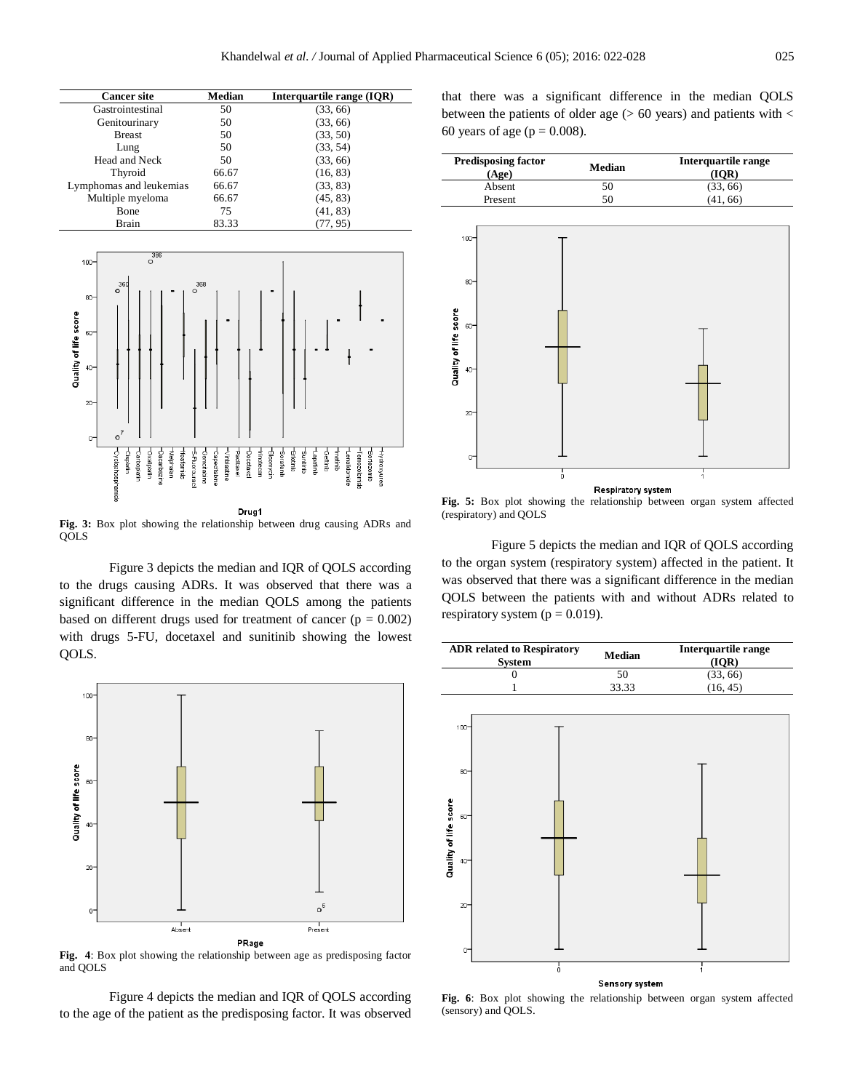| <b>Cancer site</b>      | Median | Interquartile range (IQR) |
|-------------------------|--------|---------------------------|
| Gastrointestinal        | 50     | (33, 66)                  |
| Genitourinary           | 50     | (33, 66)                  |
| <b>Breast</b>           | 50     | (33, 50)                  |
| Lung                    | 50     | (33, 54)                  |
| Head and Neck           | 50     | (33, 66)                  |
| Thyroid                 | 66.67  | (16, 83)                  |
| Lymphomas and leukemias | 66.67  | (33, 83)                  |
| Multiple myeloma        | 66.67  | (45, 83)                  |
| Bone                    | 75     | (41, 83)                  |
| Brain                   | 83.33  | (77, 95)                  |



**Fig. 3:** Box plot showing the relationship between drug causing ADRs and QOLS

Figure 3 depicts the median and IQR of QOLS according to the drugs causing ADRs. It was observed that there was a significant difference in the median QOLS among the patients based on different drugs used for treatment of cancer  $(p = 0.002)$ with drugs 5-FU, docetaxel and sunitinib showing the lowest QOLS.



**Fig. 4**: Box plot showing the relationship between age as predisposing factor and QOLS

Figure 4 depicts the median and IQR of QOLS according to the age of the patient as the predisposing factor. It was observed that there was a significant difference in the median QOLS between the patients of older age  $(> 60 \text{ years})$  and patients with  $<$ 60 years of age ( $p = 0.008$ ).

| <b>Predisposing factor</b><br>(Age) | Median                              | Interquartile range<br>(IQR) |
|-------------------------------------|-------------------------------------|------------------------------|
| Absent                              | 50                                  | (33, 66)                     |
| Present                             | 50                                  | (41, 66)                     |
| $100 -$                             |                                     |                              |
| $80 -$                              |                                     |                              |
| Quality of life score<br>60-        |                                     |                              |
| $40 -$                              |                                     |                              |
| $20 -$                              |                                     |                              |
| 0                                   |                                     |                              |
|                                     | $\frac{1}{0}$<br>Respiratory system | 1                            |

**Fig. 5:** Box plot showing the relationship between organ system affected (respiratory) and QOLS

Figure 5 depicts the median and IQR of QOLS according to the organ system (respiratory system) affected in the patient. It was observed that there was a significant difference in the median QOLS between the patients with and without ADRs related to respiratory system ( $p = 0.019$ ).

| <b>ADR</b> related to Respiratory<br><b>System</b> | Median | Interquartile range<br>(IOR) |
|----------------------------------------------------|--------|------------------------------|
|                                                    | 50     | (33, 66)                     |
|                                                    | 33.33  | (16, 45)                     |
|                                                    |        |                              |



**Fig. 6**: Box plot showing the relationship between organ system affected (sensory) and QOLS.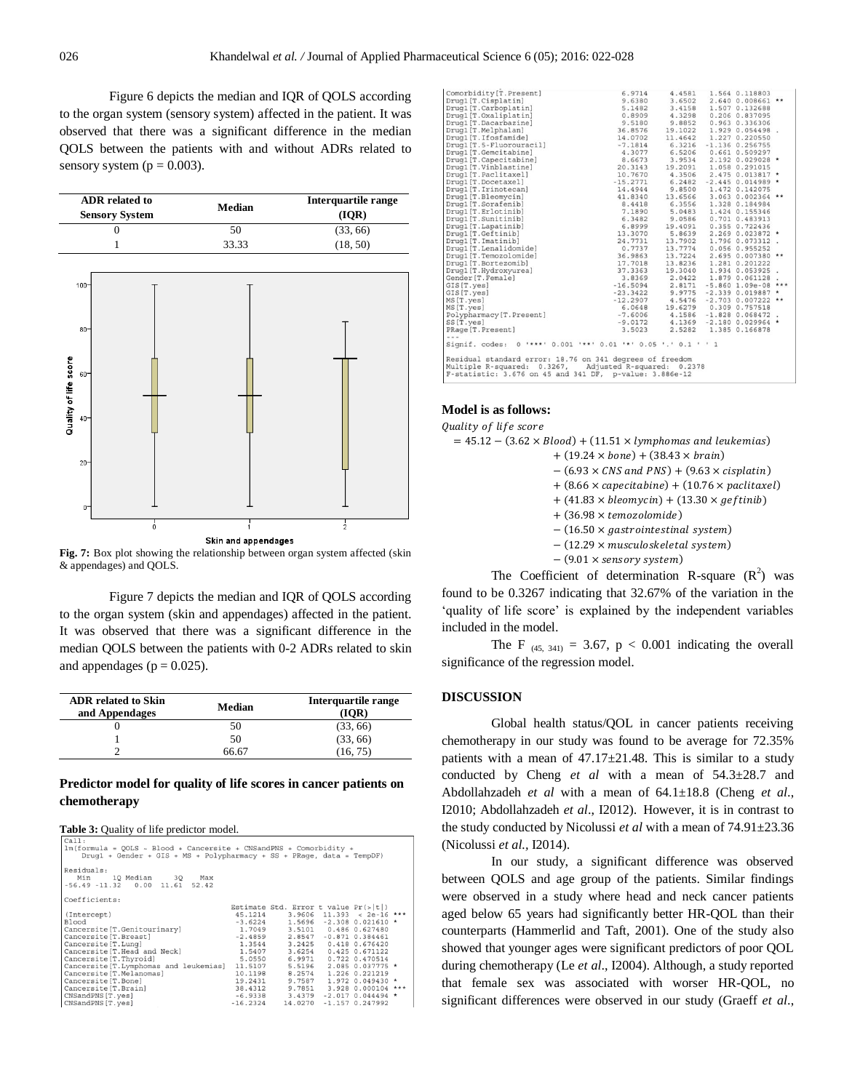Figure 6 depicts the median and IQR of QOLS according to the organ system (sensory system) affected in the patient. It was observed that there was a significant difference in the median QOLS between the patients with and without ADRs related to sensory system ( $p = 0.003$ ).

| <b>ADR</b> related to<br><b>Sensory System</b> | Median | Interquartile range<br>(IOR) |
|------------------------------------------------|--------|------------------------------|
|                                                | 50     | (33, 66)                     |
|                                                | 33.33  | (18, 50)                     |



**Fig. 7:** Box plot showing the relationship between organ system affected (skin & appendages) and QOLS.

Figure 7 depicts the median and IQR of QOLS according to the organ system (skin and appendages) affected in the patient. It was observed that there was a significant difference in the median QOLS between the patients with 0-2 ADRs related to skin and appendages ( $p = 0.025$ ).

| <b>ADR</b> related to Skin<br>and Appendages | Median       | Interquartile range |
|----------------------------------------------|--------------|---------------------|
|                                              | $50^{\circ}$ | (33, 66)            |
|                                              | 50           | (33, 66)            |
|                                              | S6 67        | (16, 75)            |

# **Predictor model for quality of life scores in cancer patients on chemotherapy**

|--|

| Cal:<br>$lm(formula = QOLS ~ Melood + Cancersite + CNSandPNS + Comorbidity +$<br>Drug1 + Gender + GIS + MS + Polypharmacy + SS + PRage, data = TempDF) |         |                                        |                         |  |
|--------------------------------------------------------------------------------------------------------------------------------------------------------|---------|----------------------------------------|-------------------------|--|
| Residuals:<br>Min 10 Median 30 Max<br>$-56.49 -11.32$ 0.00 11.61 52.42                                                                                 |         |                                        |                         |  |
| Coefficients:                                                                                                                                          |         |                                        |                         |  |
|                                                                                                                                                        |         | Estimate Std. Error t value $Pr(s t )$ |                         |  |
| (Intercept)                                                                                                                                            |         | $45.1214$ 3.9606 11.393 < 2e-16 ***    |                         |  |
| Blood                                                                                                                                                  |         | $-3.6224$ 1.5696 -2.308 0.021610 *     |                         |  |
| Cancersite [T.Genitourinary] $1.7049$ 3.5101 0.486 0.627480<br>Cancersite [T.Breast] -2.4859 2.8547 -0.871 0.384461                                    |         |                                        |                         |  |
|                                                                                                                                                        |         |                                        |                         |  |
| Cancersite [T. Lunq]                                                                                                                                   |         | 1.3544 3.2425 0.418 0.676420           |                         |  |
| Cancersite [T.Head and Neck] $1.5407$ 3.6254 0.425 0.671122<br>Cancersite [T.Thyroid] 5.0550 6.9971 0.722 0.470514                                     |         |                                        |                         |  |
| Cancersite [T. Thyroid]                                                                                                                                |         |                                        |                         |  |
| Cancersite [T. Lymphomas and leukemias] 11.5107                                                                                                        |         |                                        | 5.5196 2.085 0.037775 * |  |
| Cancersite [T. Melanomas]                                                                                                                              | 10.1198 |                                        | 8.2574 1.226 0.221219   |  |
| Cancersite [T. Bone]                                                                                                                                   | 19.2431 |                                        | 9.7587 1.972 0.049430 * |  |
| Cancersite [T. Brain]                                                                                                                                  |         | 38.4312 9.7851 3.928 0.000104 ***      |                         |  |
| CNSandPNS [T.yes]                                                                                                                                      |         | $-6.9338$ 3.4379                       | $-2.017$ 0.044494 *     |  |
| CNSandPNS [T.yes]                                                                                                                                      |         | $-16.2324$ 14.0270                     | $-1.157$ 0.247992       |  |
|                                                                                                                                                        |         |                                        |                         |  |

|                                                                                                                                                                                                                                       |                                                                                                                                                                                        |  | 2.640 0.008661 ** |  |
|---------------------------------------------------------------------------------------------------------------------------------------------------------------------------------------------------------------------------------------|----------------------------------------------------------------------------------------------------------------------------------------------------------------------------------------|--|-------------------|--|
|                                                                                                                                                                                                                                       |                                                                                                                                                                                        |  |                   |  |
|                                                                                                                                                                                                                                       |                                                                                                                                                                                        |  |                   |  |
|                                                                                                                                                                                                                                       |                                                                                                                                                                                        |  |                   |  |
|                                                                                                                                                                                                                                       |                                                                                                                                                                                        |  |                   |  |
|                                                                                                                                                                                                                                       |                                                                                                                                                                                        |  |                   |  |
|                                                                                                                                                                                                                                       |                                                                                                                                                                                        |  |                   |  |
|                                                                                                                                                                                                                                       |                                                                                                                                                                                        |  |                   |  |
|                                                                                                                                                                                                                                       |                                                                                                                                                                                        |  |                   |  |
| Comorpolatry(17. Present)<br>Drugal (T. Crisplatini)<br>1996 - 1997 - 1998 - 1998 - 1998 - 1998 - 1998 - 1998 - 1999 - 1998 - 1999 - 1999 - 1999 - 1999 - 1999 - 1999 - 1999 - 1999 - 1999 - 1999 - 1999 - 1999 - 1999 - 1999 - 1     | 20.3143    19.2091    1.000    0.013817    *<br>10.7670    4.3506    2.475    0.013819    *<br>-15.2771    6.2482    -2.445    0.014989    *<br>14.4944    9.8500    1.472    0.142075 |  |                   |  |
|                                                                                                                                                                                                                                       |                                                                                                                                                                                        |  |                   |  |
|                                                                                                                                                                                                                                       |                                                                                                                                                                                        |  |                   |  |
|                                                                                                                                                                                                                                       |                                                                                                                                                                                        |  |                   |  |
|                                                                                                                                                                                                                                       |                                                                                                                                                                                        |  |                   |  |
|                                                                                                                                                                                                                                       |                                                                                                                                                                                        |  |                   |  |
|                                                                                                                                                                                                                                       |                                                                                                                                                                                        |  |                   |  |
|                                                                                                                                                                                                                                       |                                                                                                                                                                                        |  |                   |  |
|                                                                                                                                                                                                                                       |                                                                                                                                                                                        |  |                   |  |
|                                                                                                                                                                                                                                       |                                                                                                                                                                                        |  |                   |  |
|                                                                                                                                                                                                                                       |                                                                                                                                                                                        |  |                   |  |
|                                                                                                                                                                                                                                       |                                                                                                                                                                                        |  |                   |  |
|                                                                                                                                                                                                                                       |                                                                                                                                                                                        |  |                   |  |
|                                                                                                                                                                                                                                       |                                                                                                                                                                                        |  |                   |  |
|                                                                                                                                                                                                                                       |                                                                                                                                                                                        |  |                   |  |
|                                                                                                                                                                                                                                       |                                                                                                                                                                                        |  |                   |  |
|                                                                                                                                                                                                                                       | $-16.5094$ 2.8171 -5.860 1.09e-08 ***                                                                                                                                                  |  |                   |  |
|                                                                                                                                                                                                                                       |                                                                                                                                                                                        |  |                   |  |
|                                                                                                                                                                                                                                       |                                                                                                                                                                                        |  |                   |  |
|                                                                                                                                                                                                                                       |                                                                                                                                                                                        |  |                   |  |
|                                                                                                                                                                                                                                       |                                                                                                                                                                                        |  |                   |  |
|                                                                                                                                                                                                                                       |                                                                                                                                                                                        |  |                   |  |
| MS[T.yes] 19.6279 0.309 0.757518<br>Polypharmacy [T.Present] 5.0648 19.6279 0.309 0.757518<br>SS[T.yes] -7.6006 44.1569 -2.180 0.029964<br>SS[T.yes] -9.0172 4.1569 -2.180 0.029964<br>PRage[T.Present] -9.0172 2.5282 1.385 0.166878 |                                                                                                                                                                                        |  |                   |  |
| $- - -$                                                                                                                                                                                                                               |                                                                                                                                                                                        |  |                   |  |
| Signif. codes: 0 '***' 0.001 '**' 0.01 '*' 0.05 '.' 0.1 ' ' 1                                                                                                                                                                         |                                                                                                                                                                                        |  |                   |  |
| Residual standard error: 18.76 on 341 degrees of freedom<br>Multiple R-squared: 0.3267, Adjusted R-squared: 0.2378<br>F-statistic: 3.676 on 45 and 341 DF, p-value: 3.886e-12                                                         |                                                                                                                                                                                        |  |                   |  |

#### **Model is as follows:**

Quality of life score

 $= 45.12 - (3.62 \times Blood) + (11.51 \times lymphomas and leukemias)$  $+ (19.24 \times bone) + (38.43 \times brain)$  $-(6.93 \times CNS \text{ and } PNS) + (9.63 \times cisplatin)$  $+ (8.66 \times \text{capecitable}) + (10.76 \times \text{paclitaxel})$  $+$  (41.83  $\times$  bleomycin) + (13.30  $\times$  geftinib)  $+$  (36.98  $\times$  temozolomide)  $- (16.50 \times gas trointestinal system)$  $- (12.29 \times musculoskeletal system)$  $-(9.01 \times$  sensory system) The Coefficient of determination R-square  $(R^2)$  was

found to be 0.3267 indicating that 32.67% of the variation in the 'quality of life score' is explained by the independent variables included in the model.

The F  $_{(45, 341)} = 3.67$ ,  $p < 0.001$  indicating the overall significance of the regression model.

# **DISCUSSION**

Global health status/QOL in cancer patients receiving chemotherapy in our study was found to be average for 72.35% patients with a mean of  $47.17 \pm 21.48$ . This is similar to a study conducted by Cheng *et al* with a mean of 54.3±28.7 and Abdollahzadeh *et al* with a mean of 64.1±18.8 (Cheng *et al*., I2010; Abdollahzadeh *et al*., I2012). However, it is in contrast to the study conducted by Nicolussi *et al* with a mean of 74.91±23.36 (Nicolussi *et al.,* I2014).

In our study, a significant difference was observed between QOLS and age group of the patients. Similar findings were observed in a study where head and neck cancer patients aged below 65 years had significantly better HR-QOL than their counterparts (Hammerlid and Taft, 2001). One of the study also showed that younger ages were significant predictors of poor QOL during chemotherapy (Le *et al*., I2004). Although, a study reported that female sex was associated with worser HR-QOL, no significant differences were observed in our study (Graeff *et al*.,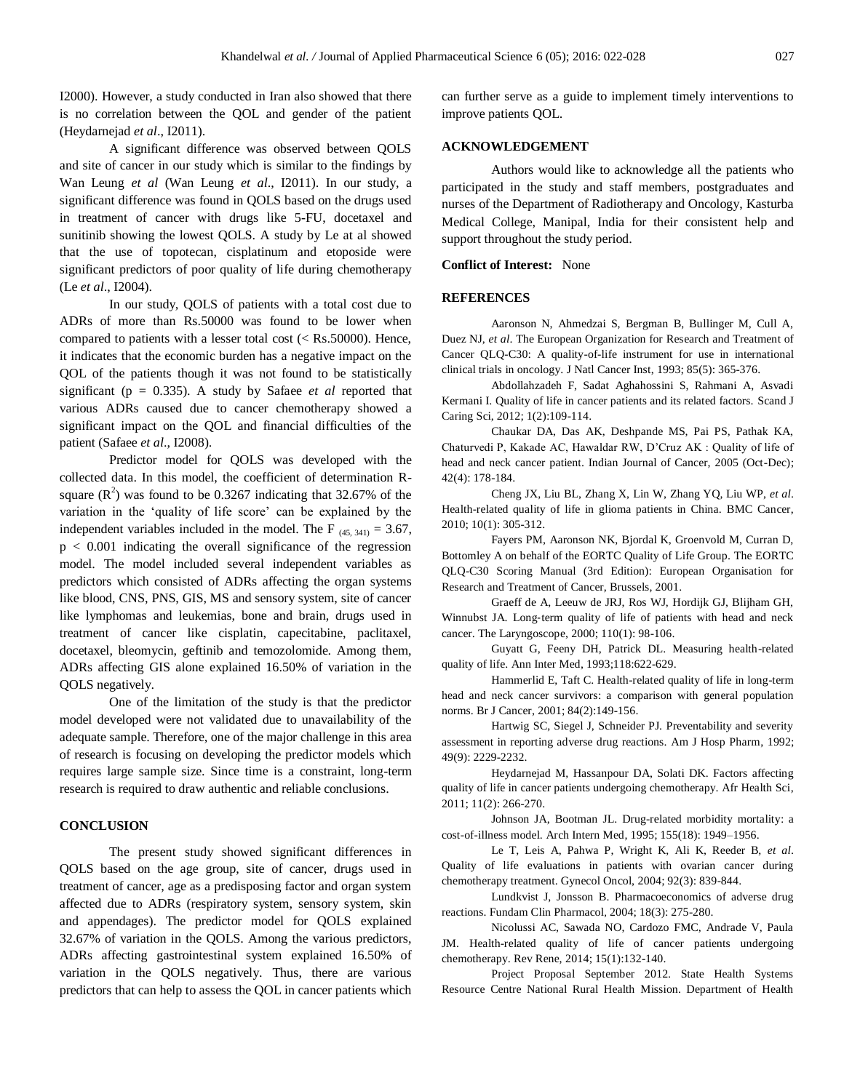I2000). However, a study conducted in Iran also showed that there is no correlation between the QOL and gender of the patient (Heydarnejad *et al*., I2011).

A significant difference was observed between QOLS and site of cancer in our study which is similar to the findings by Wan Leung *et al* (Wan Leung *et al*., I2011). In our study, a significant difference was found in QOLS based on the drugs used in treatment of cancer with drugs like 5-FU, docetaxel and sunitinib showing the lowest QOLS. A study by Le at al showed that the use of topotecan, cisplatinum and etoposide were significant predictors of poor quality of life during chemotherapy (Le *et al*., I2004).

In our study, QOLS of patients with a total cost due to ADRs of more than Rs.50000 was found to be lower when compared to patients with a lesser total cost  $(<$  Rs.50000). Hence, it indicates that the economic burden has a negative impact on the QOL of the patients though it was not found to be statistically significant (p = 0.335). A study by Safaee *et al* reported that various ADRs caused due to cancer chemotherapy showed a significant impact on the QOL and financial difficulties of the patient (Safaee *et al*., I2008).

Predictor model for QOLS was developed with the collected data. In this model, the coefficient of determination Rsquare  $(R^2)$  was found to be 0.3267 indicating that 32.67% of the variation in the 'quality of life score' can be explained by the independent variables included in the model. The F  $_{(45, 341)} = 3.67$ ,  $p < 0.001$  indicating the overall significance of the regression model. The model included several independent variables as predictors which consisted of ADRs affecting the organ systems like blood, CNS, PNS, GIS, MS and sensory system, site of cancer like lymphomas and leukemias, bone and brain, drugs used in treatment of cancer like cisplatin, capecitabine, paclitaxel, docetaxel, bleomycin, geftinib and temozolomide. Among them, ADRs affecting GIS alone explained 16.50% of variation in the QOLS negatively.

One of the limitation of the study is that the predictor model developed were not validated due to unavailability of the adequate sample. Therefore, one of the major challenge in this area of research is focusing on developing the predictor models which requires large sample size. Since time is a constraint, long-term research is required to draw authentic and reliable conclusions.

# **CONCLUSION**

The present study showed significant differences in QOLS based on the age group, site of cancer, drugs used in treatment of cancer, age as a predisposing factor and organ system affected due to ADRs (respiratory system, sensory system, skin and appendages). The predictor model for QOLS explained 32.67% of variation in the QOLS. Among the various predictors, ADRs affecting gastrointestinal system explained 16.50% of variation in the QOLS negatively. Thus, there are various predictors that can help to assess the QOL in cancer patients which can further serve as a guide to implement timely interventions to improve patients QOL.

# **ACKNOWLEDGEMENT**

Authors would like to acknowledge all the patients who participated in the study and staff members, postgraduates and nurses of the Department of Radiotherapy and Oncology, Kasturba Medical College, Manipal, India for their consistent help and support throughout the study period.

## **Conflict of Interest:** None

#### **REFERENCES**

Aaronson N, Ahmedzai S, Bergman B, Bullinger M, Cull A, Duez NJ, *et al*. The European Organization for Research and Treatment of Cancer QLQ-C30: A quality-of-life instrument for use in international clinical trials in oncology. J Natl Cancer Inst, 1993; 85(5): 365-376.

Abdollahzadeh F, Sadat Aghahossini S, Rahmani A, Asvadi Kermani I. Quality of life in cancer patients and its related factors. Scand J Caring Sci, 2012; 1(2):109-114.

Chaukar DA, Das AK, Deshpande MS, Pai PS, Pathak KA, Chaturvedi P, Kakade AC, Hawaldar RW, D'Cruz AK : Quality of life of head and neck cancer patient. Indian Journal of Cancer, 2005 (Oct-Dec); 42(4): 178-184.

Cheng JX, Liu BL, Zhang X, Lin W, Zhang YQ, Liu WP, *et al*. Health-related quality of life in glioma patients in China. BMC Cancer, 2010; 10(1): 305-312.

Fayers PM, Aaronson NK, Bjordal K, Groenvold M, Curran D, Bottomley A on behalf of the EORTC Quality of Life Group. The EORTC QLQ-C30 Scoring Manual (3rd Edition): European Organisation for Research and Treatment of Cancer, Brussels, 2001.

Graeff de A, Leeuw de JRJ, Ros WJ, Hordijk GJ, Blijham GH, Winnubst JA. Long‐term quality of life of patients with head and neck cancer. The Laryngoscope, 2000; 110(1): 98-106.

Guyatt G, Feeny DH, Patrick DL. Measuring health-related quality of life. Ann Inter Med, 1993;118:622-629.

Hammerlid E, Taft C. Health-related quality of life in long-term head and neck cancer survivors: a comparison with general population norms. Br J Cancer, 2001; 84(2):149-156.

Hartwig SC, Siegel J, Schneider PJ. Preventability and severity assessment in reporting adverse drug reactions. Am J Hosp Pharm, 1992; 49(9): 2229-2232.

Heydarnejad M, Hassanpour DA, Solati DK. Factors affecting quality of life in cancer patients undergoing chemotherapy. Afr Health Sci, 2011; 11(2): 266-270.

Johnson JA, Bootman JL. Drug-related morbidity mortality: a cost-of-illness model. Arch Intern Med, 1995; 155(18): 1949–1956.

Le T, Leis A, Pahwa P, Wright K, Ali K, Reeder B, *et al*. Quality of life evaluations in patients with ovarian cancer during chemotherapy treatment. Gynecol Oncol, 2004; 92(3): 839-844.

[Lundkvist J,](http://www.ncbi.nlm.nih.gov/pubmed?term=%22Lundkvist%20J%22%5BAuthor%5D) [Jonsson B.](http://www.ncbi.nlm.nih.gov/pubmed?term=%22J%C3%B6nsson%20B%22%5BAuthor%5D) Pharmacoeconomics of adverse drug reactions. [Fundam Clin Pharmacol](javascript:AL_get(this,%20)*,* 2004; 18(3): 275-280.

Nicolussi AC, Sawada NO, Cardozo FMC, Andrade V, Paula JM. Health-related quality of life of cancer patients undergoing chemotherapy. Rev Rene, 2014; 15(1):132-140.

Project Proposal September 2012. State Health Systems Resource Centre National Rural Health Mission. Department of Health